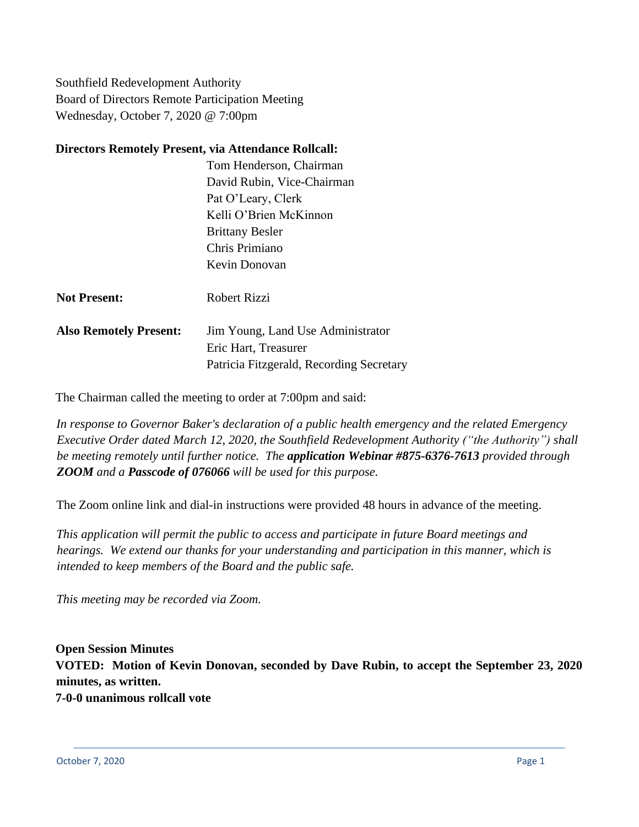Southfield Redevelopment Authority Board of Directors Remote Participation Meeting Wednesday, October 7, 2020 @ 7:00pm

#### **Directors Remotely Present, via Attendance Rollcall:**

Tom Henderson, Chairman David Rubin, Vice-Chairman Pat O'Leary, Clerk Kelli O'Brien McKinnon Brittany Besler Chris Primiano Kevin Donovan

- **Not Present:** Robert Rizzi
- **Also Remotely Present:** Jim Young, Land Use Administrator Eric Hart, Treasurer Patricia Fitzgerald, Recording Secretary

The Chairman called the meeting to order at 7:00pm and said:

*In response to Governor Baker's declaration of a public health emergency and the related Emergency Executive Order dated March 12, 2020, the Southfield Redevelopment Authority ("the Authority") shall be meeting remotely until further notice. The application Webinar #875-6376-7613 provided through ZOOM and a Passcode of 076066 will be used for this purpose.*

The Zoom online link and dial-in instructions were provided 48 hours in advance of the meeting.

*This application will permit the public to access and participate in future Board meetings and hearings. We extend our thanks for your understanding and participation in this manner, which is intended to keep members of the Board and the public safe.*

*This meeting may be recorded via Zoom.*

**Open Session Minutes VOTED: Motion of Kevin Donovan, seconded by Dave Rubin, to accept the September 23, 2020 minutes, as written. 7-0-0 unanimous rollcall vote**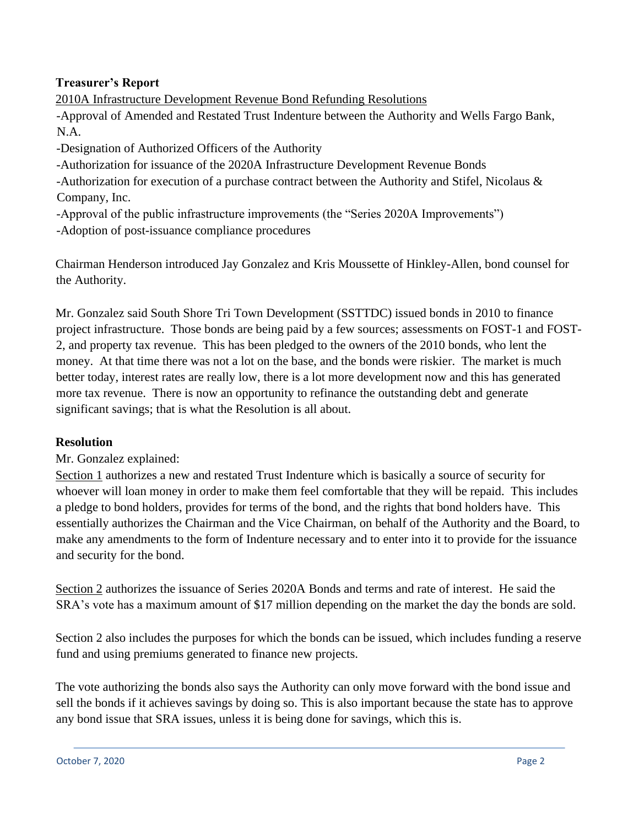### **Treasurer's Report**

2010A Infrastructure Development Revenue Bond Refunding Resolutions

-Approval of Amended and Restated Trust Indenture between the Authority and Wells Fargo Bank, N.A.

-Designation of Authorized Officers of the Authority

-Authorization for issuance of the 2020A Infrastructure Development Revenue Bonds

-Authorization for execution of a purchase contract between the Authority and Stifel, Nicolaus & Company, Inc.

-Approval of the public infrastructure improvements (the "Series 2020A Improvements")

-Adoption of post-issuance compliance procedures

Chairman Henderson introduced Jay Gonzalez and Kris Moussette of Hinkley-Allen, bond counsel for the Authority.

Mr. Gonzalez said South Shore Tri Town Development (SSTTDC) issued bonds in 2010 to finance project infrastructure. Those bonds are being paid by a few sources; assessments on FOST-1 and FOST-2, and property tax revenue. This has been pledged to the owners of the 2010 bonds, who lent the money. At that time there was not a lot on the base, and the bonds were riskier. The market is much better today, interest rates are really low, there is a lot more development now and this has generated more tax revenue. There is now an opportunity to refinance the outstanding debt and generate significant savings; that is what the Resolution is all about.

### **Resolution**

Mr. Gonzalez explained:

Section 1 authorizes a new and restated Trust Indenture which is basically a source of security for whoever will loan money in order to make them feel comfortable that they will be repaid. This includes a pledge to bond holders, provides for terms of the bond, and the rights that bond holders have. This essentially authorizes the Chairman and the Vice Chairman, on behalf of the Authority and the Board, to make any amendments to the form of Indenture necessary and to enter into it to provide for the issuance and security for the bond.

Section 2 authorizes the issuance of Series 2020A Bonds and terms and rate of interest. He said the SRA's vote has a maximum amount of \$17 million depending on the market the day the bonds are sold.

Section 2 also includes the purposes for which the bonds can be issued, which includes funding a reserve fund and using premiums generated to finance new projects.

The vote authorizing the bonds also says the Authority can only move forward with the bond issue and sell the bonds if it achieves savings by doing so. This is also important because the state has to approve any bond issue that SRA issues, unless it is being done for savings, which this is.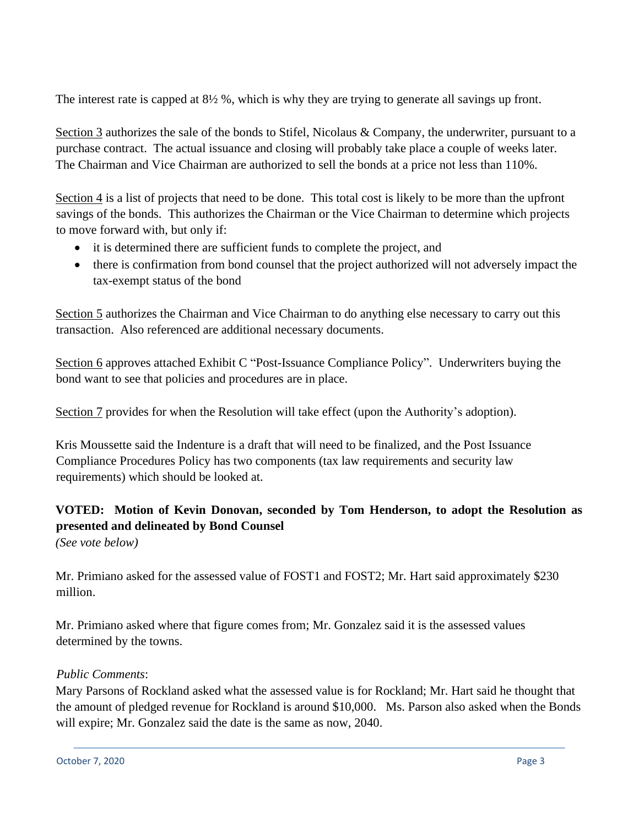The interest rate is capped at 8½ %, which is why they are trying to generate all savings up front.

Section 3 authorizes the sale of the bonds to Stifel, Nicolaus & Company, the underwriter, pursuant to a purchase contract. The actual issuance and closing will probably take place a couple of weeks later. The Chairman and Vice Chairman are authorized to sell the bonds at a price not less than 110%.

Section 4 is a list of projects that need to be done. This total cost is likely to be more than the upfront savings of the bonds. This authorizes the Chairman or the Vice Chairman to determine which projects to move forward with, but only if:

- it is determined there are sufficient funds to complete the project, and
- there is confirmation from bond counsel that the project authorized will not adversely impact the tax-exempt status of the bond

Section 5 authorizes the Chairman and Vice Chairman to do anything else necessary to carry out this transaction. Also referenced are additional necessary documents.

Section 6 approves attached Exhibit C "Post-Issuance Compliance Policy". Underwriters buying the bond want to see that policies and procedures are in place.

Section 7 provides for when the Resolution will take effect (upon the Authority's adoption).

Kris Moussette said the Indenture is a draft that will need to be finalized, and the Post Issuance Compliance Procedures Policy has two components (tax law requirements and security law requirements) which should be looked at.

# **VOTED: Motion of Kevin Donovan, seconded by Tom Henderson, to adopt the Resolution as presented and delineated by Bond Counsel**

*(See vote below)*

Mr. Primiano asked for the assessed value of FOST1 and FOST2; Mr. Hart said approximately \$230 million.

Mr. Primiano asked where that figure comes from; Mr. Gonzalez said it is the assessed values determined by the towns.

### *Public Comments*:

Mary Parsons of Rockland asked what the assessed value is for Rockland; Mr. Hart said he thought that the amount of pledged revenue for Rockland is around \$10,000. Ms. Parson also asked when the Bonds will expire; Mr. Gonzalez said the date is the same as now, 2040.